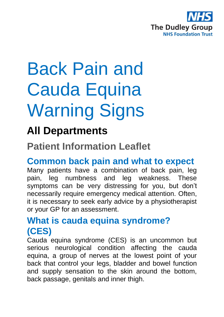

# Back Pain and Cauda Equina Warning Signs

## **All Departments**

**Patient Information Leaflet**

#### **Common back pain and what to expect**

Many patients have a combination of back pain, leg pain, leg numbness and leg weakness. These symptoms can be very distressing for you, but don't necessarily require emergency medical attention. Often, it is necessary to seek early advice by a physiotherapist or your GP for an assessment.

### **What is cauda equina syndrome? (CES)**

Cauda equina syndrome (CES) is an uncommon but serious neurological condition affecting the cauda equina, a group of nerves at the lowest point of your back that control your legs, bladder and bowel function and supply sensation to the skin around the bottom, back passage, genitals and inner thigh.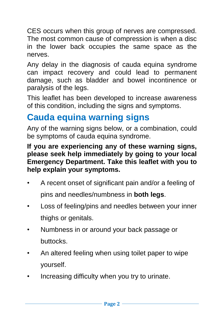CES occurs when this group of nerves are compressed. The most common cause of compression is when a disc in the lower back occupies the same space as the nerves.

Any delay in the diagnosis of cauda equina syndrome can impact recovery and could lead to permanent damage, such as bladder and bowel incontinence or paralysis of the legs.

This leaflet has been developed to increase awareness of this condition, including the signs and symptoms.

#### **Cauda equina warning signs**

Any of the warning signs below, or a combination, could be symptoms of cauda equina syndrome.

**If you are experiencing any of these warning signs, please seek help immediately by going to your local Emergency Department. Take this leaflet with you to help explain your symptoms.**

- A recent onset of significant pain and/or a feeling of pins and needles/numbness in **both legs**.
- Loss of feeling/pins and needles between your inner thighs or genitals.
- Numbness in or around your back passage or buttocks.
- An altered feeling when using toilet paper to wipe yourself.
- Increasing difficulty when you try to urinate.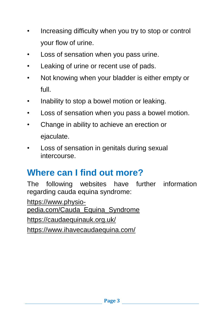- Increasing difficulty when you try to stop or control your flow of urine.
- Loss of sensation when you pass urine.
- Leaking of urine or recent use of pads.
- Not knowing when your bladder is either empty or full.
- Inability to stop a bowel motion or leaking.
- Loss of sensation when you pass a bowel motion.
- Change in ability to achieve an erection or ejaculate.
- Loss of sensation in genitals during sexual intercourse.

#### **Where can I find out more?**

The following websites have further information regarding cauda equina syndrome:

[https://www.physio-](https://www.physio-pedia.com/Cauda_Equina_Syndrome)

[pedia.com/Cauda\\_Equina\\_Syndrome](https://www.physio-pedia.com/Cauda_Equina_Syndrome)

<https://caudaequinauk.org.uk/>

<https://www.ihavecaudaequina.com/>